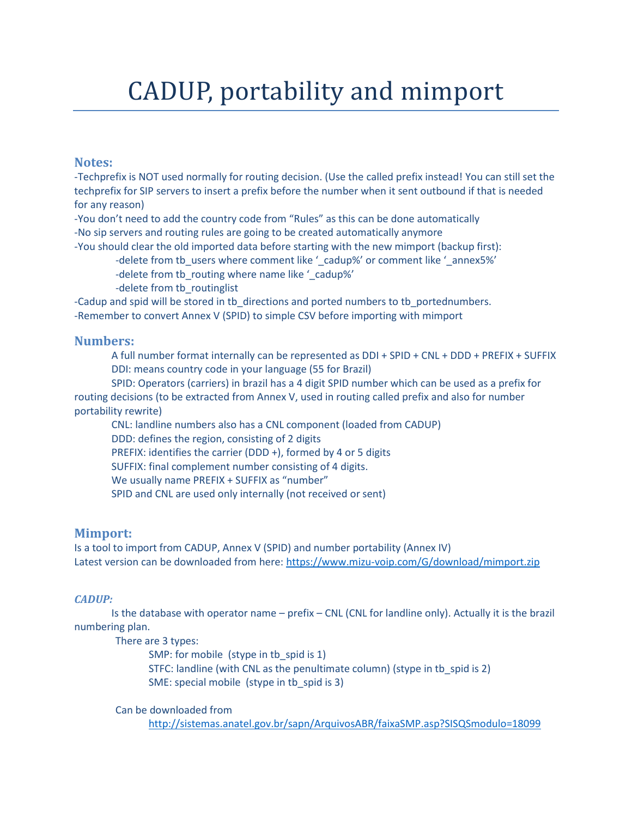# CADUP, portability and mimport

## **Notes:**

-Techprefix is NOT used normally for routing decision. (Use the called prefix instead! You can still set the techprefix for SIP servers to insert a prefix before the number when it sent outbound if that is needed for any reason)

-You don't need to add the country code from "Rules" as this can be done automatically -No sip servers and routing rules are going to be created automatically anymore

-You should clear the old imported data before starting with the new mimport (backup first):

-delete from tb\_users where comment like '\_cadup%' or comment like '\_annex5%'

-delete from tb routing where name like ' cadup%'

-delete from tb\_routinglist

-Cadup and spid will be stored in tb directions and ported numbers to tb portednumbers. -Remember to convert Annex V (SPID) to simple CSV before importing with mimport

## **Numbers:**

A full number format internally can be represented as DDI + SPID + CNL + DDD + PREFIX + SUFFIX DDI: means country code in your language (55 for Brazil)

SPID: Operators (carriers) in brazil has a 4 digit SPID number which can be used as a prefix for routing decisions (to be extracted from Annex V, used in routing called prefix and also for number portability rewrite)

CNL: landline numbers also has a CNL component (loaded from CADUP)

DDD: defines the region, consisting of 2 digits

PREFIX: identifies the carrier (DDD +), formed by 4 or 5 digits

SUFFIX: final complement number consisting of 4 digits.

We usually name PREFIX + SUFFIX as "number"

SPID and CNL are used only internally (not received or sent)

# **Mimport:**

Is a tool to import from CADUP, Annex V (SPID) and number portability (Annex IV) Latest version can be downloaded from here:<https://www.mizu-voip.com/G/download/mimport.zip>

## *CADUP:*

Is the database with operator name – prefix – CNL (CNL for landline only). Actually it is the brazil numbering plan.

There are 3 types:

SMP: for mobile (stype in tb spid is 1) STFC: landline (with CNL as the penultimate column) (stype in tb\_spid is 2)

SME: special mobile (stype in tb\_spid is 3)

Can be downloaded from

<http://sistemas.anatel.gov.br/sapn/ArquivosABR/faixaSMP.asp?SISQSmodulo=18099>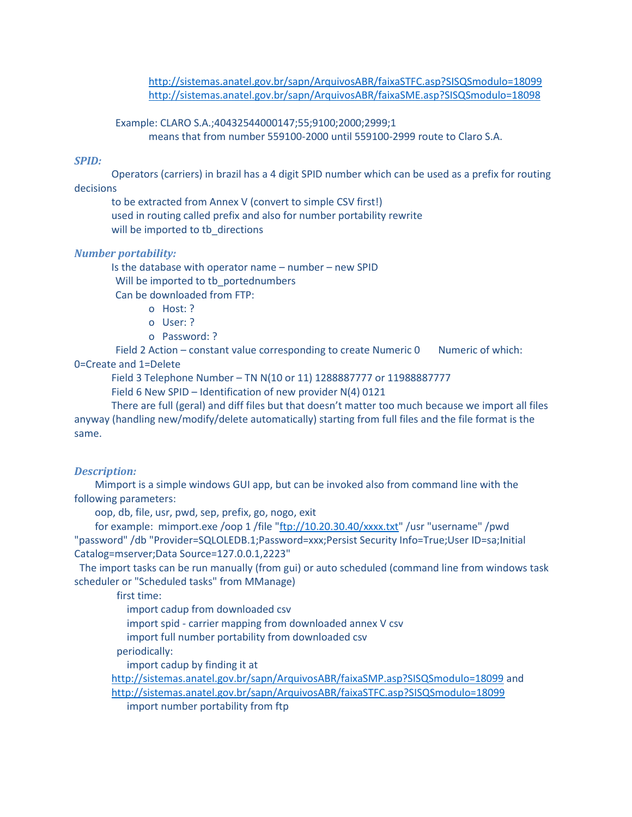<http://sistemas.anatel.gov.br/sapn/ArquivosABR/faixaSTFC.asp?SISQSmodulo=18099> <http://sistemas.anatel.gov.br/sapn/ArquivosABR/faixaSME.asp?SISQSmodulo=18098>

 Example: CLARO S.A.;40432544000147;55;9100;2000;2999;1 means that from number 559100-2000 until 559100-2999 route to Claro S.A.

#### *SPID:*

Operators (carriers) in brazil has a 4 digit SPID number which can be used as a prefix for routing decisions

to be extracted from Annex V (convert to simple CSV first!) used in routing called prefix and also for number portability rewrite will be imported to tb\_directions

#### *Number portability:*

Is the database with operator name – number – new SPID Will be imported to tb\_portednumbers

Can be downloaded from FTP:

- o Host: ?
- o User: ?
- o Password: ?

Field 2 Action – constant value corresponding to create Numeric 0 Numeric of which: 0=Create and 1=Delete

Field 3 Telephone Number – TN N(10 or 11) 1288887777 or 11988887777

Field 6 New SPID – Identification of new provider N(4) 0121

There are full (geral) and diff files but that doesn't matter too much because we import all files anyway (handling new/modify/delete automatically) starting from full files and the file format is the same.

#### *Description:*

 Mimport is a simple windows GUI app, but can be invoked also from command line with the following parameters:

oop, db, file, usr, pwd, sep, prefix, go, nogo, exit

for example: mimport.exe /oop 1 /file ["ftp://10.20.30.40/xxxx.txt"](ftp://10.20.30.40/xxxx.txt) /usr "username" /pwd "password" /db "Provider=SQLOLEDB.1;Password=xxx;Persist Security Info=True;User ID=sa;Initial Catalog=mserver;Data Source=127.0.0.1,2223"

The import tasks can be run manually (from gui) or auto scheduled (command line from windows task scheduler or "Scheduled tasks" from MManage)

first time:

import cadup from downloaded csv

import spid - carrier mapping from downloaded annex V csv

import full number portability from downloaded csv

periodically:

import cadup by finding it at

<http://sistemas.anatel.gov.br/sapn/ArquivosABR/faixaSMP.asp?SISQSmodulo=18099> and <http://sistemas.anatel.gov.br/sapn/ArquivosABR/faixaSTFC.asp?SISQSmodulo=18099> import number portability from ftp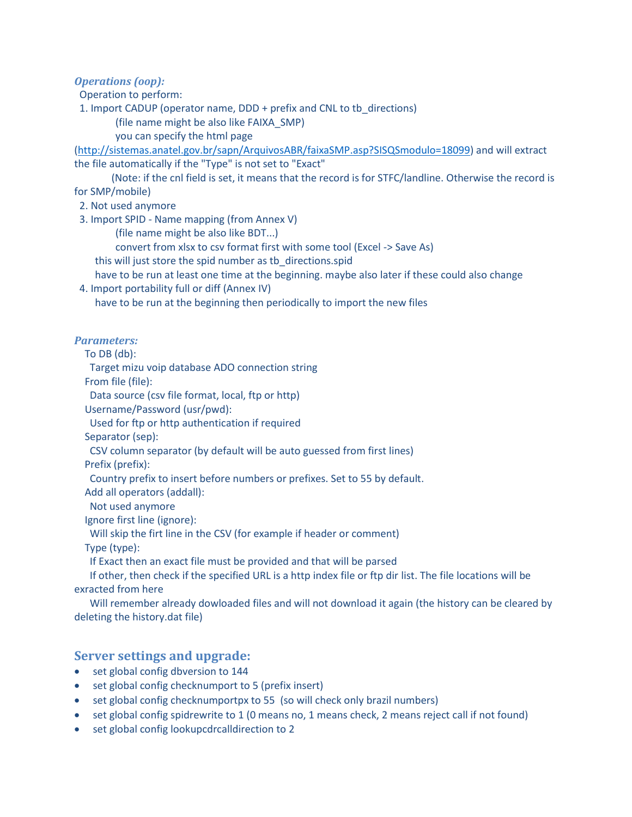*Operations (oop):*

Operation to perform:

1. Import CADUP (operator name, DDD + prefix and CNL to tb\_directions)

(file name might be also like FAIXA\_SMP)

you can specify the html page

[\(http://sistemas.anatel.gov.br/sapn/ArquivosABR/faixaSMP.asp?SISQSmodulo=18099\)](http://sistemas.anatel.gov.br/sapn/ArquivosABR/faixaSMP.asp?SISQSmodulo=18099) and will extract the file automatically if the "Type" is not set to "Exact"

(Note: if the cnl field is set, it means that the record is for STFC/landline. Otherwise the record is for SMP/mobile)

2. Not used anymore

3. Import SPID - Name mapping (from Annex V)

(file name might be also like BDT...)

convert from xlsx to csv format first with some tool (Excel -> Save As)

this will just store the spid number as tb directions.spid

have to be run at least one time at the beginning. maybe also later if these could also change

4. Import portability full or diff (Annex IV)

have to be run at the beginning then periodically to import the new files

#### *Parameters:*

To DB (db):

Target mizu voip database ADO connection string

From file (file):

Data source (csv file format, local, ftp or http)

Username/Password (usr/pwd):

Used for ftp or http authentication if required

Separator (sep):

CSV column separator (by default will be auto guessed from first lines)

Prefix (prefix):

Country prefix to insert before numbers or prefixes. Set to 55 by default.

Add all operators (addall):

Not used anymore

Ignore first line (ignore):

Will skip the firt line in the CSV (for example if header or comment)

Type (type):

If Exact then an exact file must be provided and that will be parsed

 If other, then check if the specified URL is a http index file or ftp dir list. The file locations will be exracted from here

 Will remember already dowloaded files and will not download it again (the history can be cleared by deleting the history.dat file)

## **Server settings and upgrade:**

- set global config dbversion to 144
- set global config checknumport to 5 (prefix insert)
- set global config checknumportpx to 55 (so will check only brazil numbers)
- set global config spidrewrite to 1 (0 means no, 1 means check, 2 means reject call if not found)
- set global config lookupcdrcalldirection to 2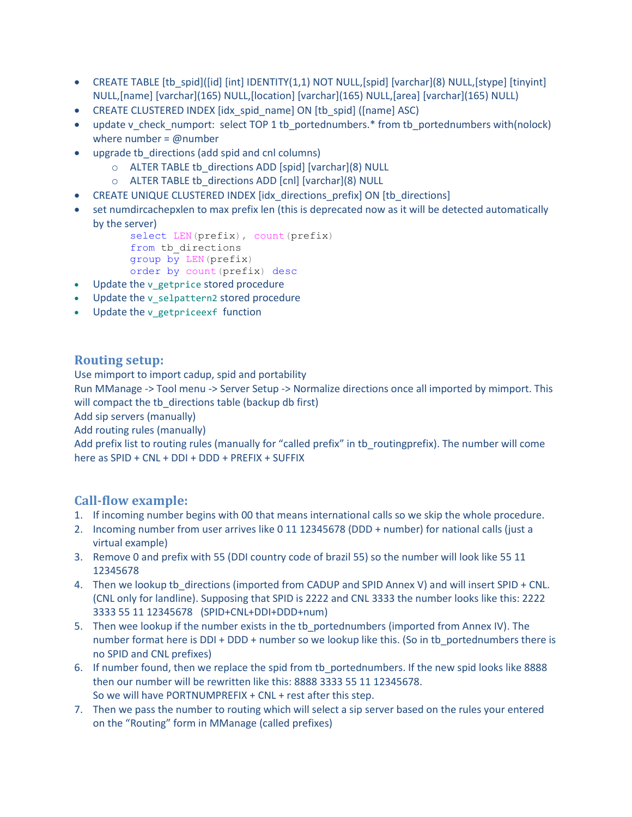- CREATE TABLE [tb\_spid]([id] [int] IDENTITY(1,1) NOT NULL,[spid] [varchar](8) NULL,[stype] [tinyint] NULL,[name] [varchar](165) NULL,[location] [varchar](165) NULL,[area] [varchar](165) NULL)
- CREATE CLUSTERED INDEX [idx\_spid\_name] ON [tb\_spid] ([name] ASC)
- update v\_check\_numport: select TOP 1 tb\_portednumbers.\* from tb\_portednumbers with(nolock) where number =  $@$  number
- upgrade tb\_directions (add spid and cnl columns)
	- o ALTER TABLE tb\_directions ADD [spid] [varchar](8) NULL
	- o ALTER TABLE tb\_directions ADD [cnl] [varchar](8) NULL
- CREATE UNIQUE CLUSTERED INDEX [idx\_directions\_prefix] ON [tb\_directions]
- set numdircachepxlen to max prefix len (this is deprecated now as it will be detected automatically by the server)

```
select LEN(prefix), count(prefix)
from tb_directions 
group by LEN(prefix)
order by count(prefix) desc
```
- Update the v\_getprice stored procedure
- Update the v selpattern2 stored procedure
- Update the v\_getpriceexf function

## **Routing setup:**

Use mimport to import cadup, spid and portability

Run MManage -> Tool menu -> Server Setup -> Normalize directions once all imported by mimport. This will compact the tb directions table (backup db first)

Add sip servers (manually)

Add routing rules (manually)

Add prefix list to routing rules (manually for "called prefix" in tb routingprefix). The number will come here as SPID + CNL + DDI + DDD + PREFIX + SUFFIX

# **Call-flow example:**

- 1. If incoming number begins with 00 that means international calls so we skip the whole procedure.
- 2. Incoming number from user arrives like 0 11 12345678 (DDD + number) for national calls (just a virtual example)
- 3. Remove 0 and prefix with 55 (DDI country code of brazil 55) so the number will look like 55 11 12345678
- 4. Then we lookup tb directions (imported from CADUP and SPID Annex V) and will insert SPID + CNL. (CNL only for landline). Supposing that SPID is 2222 and CNL 3333 the number looks like this: 2222 3333 55 11 12345678 (SPID+CNL+DDI+DDD+num)
- 5. Then wee lookup if the number exists in the tb\_portednumbers (imported from Annex IV). The number format here is DDI + DDD + number so we lookup like this. (So in tb\_portednumbers there is no SPID and CNL prefixes)
- 6. If number found, then we replace the spid from tb\_portednumbers. If the new spid looks like 8888 then our number will be rewritten like this: 8888 3333 55 11 12345678. So we will have PORTNUMPREFIX + CNL + rest after this step.
- 7. Then we pass the number to routing which will select a sip server based on the rules your entered on the "Routing" form in MManage (called prefixes)